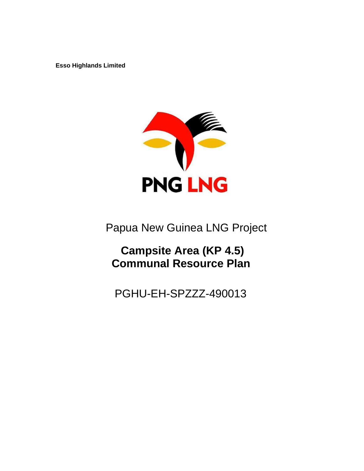**Esso Highlands Limited** 



Papua New Guinea LNG Project

# **Campsite Area (KP 4.5) Communal Resource Plan**

PGHU-EH-SPZZZ-490013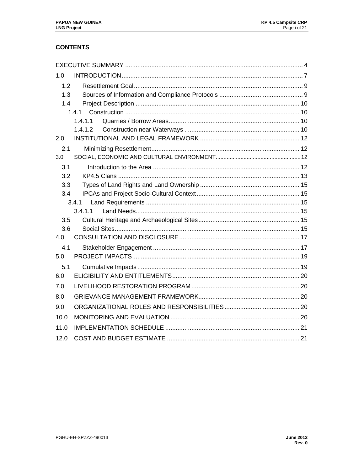# **CONTENTS**

| 1.0  |         |  |
|------|---------|--|
| 1.2  |         |  |
| 1.3  |         |  |
| 1.4  |         |  |
|      | 1.4.1   |  |
|      | 1.4.1.1 |  |
|      | 1.4.1.2 |  |
| 2.0  |         |  |
| 2.1  |         |  |
| 3.0  |         |  |
| 3.1  |         |  |
| 3.2  |         |  |
| 3.3  |         |  |
| 3.4  |         |  |
|      | 3.4.1   |  |
|      | 3.4.1.1 |  |
| 3.5  |         |  |
| 3.6  |         |  |
| 4.0  |         |  |
| 4.1  |         |  |
| 5.0  |         |  |
| 5.1  |         |  |
| 6.0  |         |  |
| 7.0  |         |  |
| 8.0  |         |  |
| 9.0  |         |  |
| 10.0 |         |  |
| 11.0 |         |  |
| 12.0 |         |  |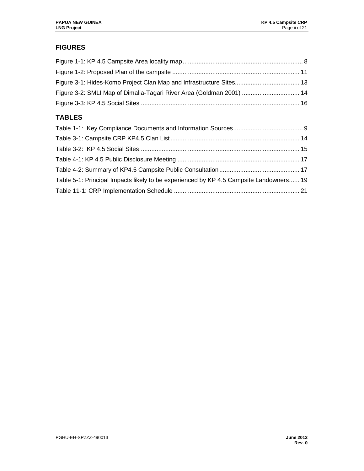# **FIGURES**

| Figure 3-2: SMLI Map of Dimalia-Tagari River Area (Goldman 2001)  14 |  |
|----------------------------------------------------------------------|--|
|                                                                      |  |
| <b>TABLES</b>                                                        |  |
|                                                                      |  |
|                                                                      |  |

| Table 5-1: Principal Impacts likely to be experienced by KP 4.5 Campsite Landowners 19 |  |
|----------------------------------------------------------------------------------------|--|
|                                                                                        |  |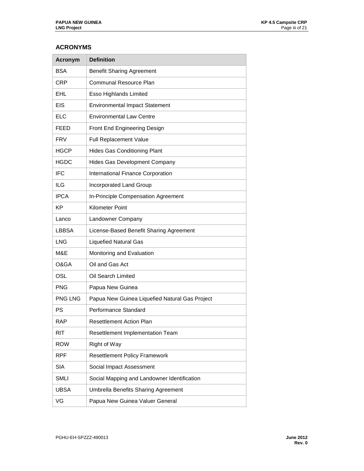#### **ACRONYMS**

| <b>Acronym</b> | <b>Definition</b>                              |
|----------------|------------------------------------------------|
| <b>BSA</b>     | <b>Benefit Sharing Agreement</b>               |
| <b>CRP</b>     | Communal Resource Plan                         |
| EHL            | Esso Highlands Limited                         |
| <b>EIS</b>     | <b>Environmental Impact Statement</b>          |
| <b>ELC</b>     | <b>Environmental Law Centre</b>                |
| FEED           | Front End Engineering Design                   |
| <b>FRV</b>     | <b>Full Replacement Value</b>                  |
| <b>HGCP</b>    | <b>Hides Gas Conditioning Plant</b>            |
| <b>HGDC</b>    | <b>Hides Gas Development Company</b>           |
| <b>IFC</b>     | International Finance Corporation              |
| ILG            | Incorporated Land Group                        |
| <b>IPCA</b>    | In-Principle Compensation Agreement            |
| ΚP             | <b>Kilometer Point</b>                         |
| Lanco          | Landowner Company                              |
| <b>LBBSA</b>   | License-Based Benefit Sharing Agreement        |
| <b>LNG</b>     | <b>Liquefied Natural Gas</b>                   |
| M&E            | Monitoring and Evaluation                      |
| O&GA           | Oil and Gas Act                                |
| OSL            | Oil Search Limited                             |
| <b>PNG</b>     | Papua New Guinea                               |
| <b>PNG LNG</b> | Papua New Guinea Liquefied Natural Gas Project |
| PS             | Performance Standard                           |
| <b>RAP</b>     | <b>Resettlement Action Plan</b>                |
| RIT            | Resettlement Implementation Team               |
| <b>ROW</b>     | Right of Way                                   |
| <b>RPF</b>     | <b>Resettlement Policy Framework</b>           |
| SIA            | Social Impact Assessment                       |
| <b>SMLI</b>    | Social Mapping and Landowner Identification    |
| <b>UBSA</b>    | <b>Umbrella Benefits Sharing Agreement</b>     |
| VG             | Papua New Guinea Valuer General                |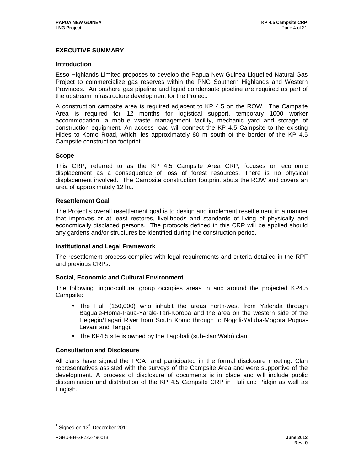## **EXECUTIVE SUMMARY**

#### **Introduction**

Esso Highlands Limited proposes to develop the Papua New Guinea Liquefied Natural Gas Project to commercialize gas reserves within the PNG Southern Highlands and Western Provinces. An onshore gas pipeline and liquid condensate pipeline are required as part of the upstream infrastructure development for the Project.

A construction campsite area is required adjacent to KP 4.5 on the ROW. The Campsite Area is required for 12 months for logistical support, temporary 1000 worker accommodation, a mobile waste management facility, mechanic yard and storage of construction equipment. An access road will connect the KP 4.5 Campsite to the existing Hides to Komo Road, which lies approximately 80 m south of the border of the KP 4.5 Campsite construction footprint.

#### **Scope**

This CRP, referred to as the KP 4.5 Campsite Area CRP, focuses on economic displacement as a consequence of loss of forest resources. There is no physical displacement involved. The Campsite construction footprint abuts the ROW and covers an area of approximately 12 ha.

#### **Resettlement Goal**

The Project's overall resettlement goal is to design and implement resettlement in a manner that improves or at least restores, livelihoods and standards of living of physically and economically displaced persons. The protocols defined in this CRP will be applied should any gardens and/or structures be identified during the construction period.

#### **Institutional and Legal Framework**

The resettlement process complies with legal requirements and criteria detailed in the RPF and previous CRPs.

#### **Social, Economic and Cultural Environment**

The following linguo-cultural group occupies areas in and around the projected KP4.5 Campsite:

- The Huli (150,000) who inhabit the areas north-west from Yalenda through Baguale-Homa-Paua-Yarale-Tari-Koroba and the area on the western side of the Hegegio/Tagari River from South Komo through to Nogoli-Yaluba-Mogora Pugua-Levani and Tanggi.
- The KP4.5 site is owned by the Tagobali (sub-clan:Walo) clan.

#### **Consultation and Disclosure**

All clans have signed the IPCA $1$  and participated in the formal disclosure meeting. Clan representatives assisted with the surveys of the Campsite Area and were supportive of the development. A process of disclosure of documents is in place and will include public dissemination and distribution of the KP 4.5 Campsite CRP in Huli and Pidgin as well as English.

-

 $<sup>1</sup>$  Signed on 13<sup>th</sup> December 2011.</sup>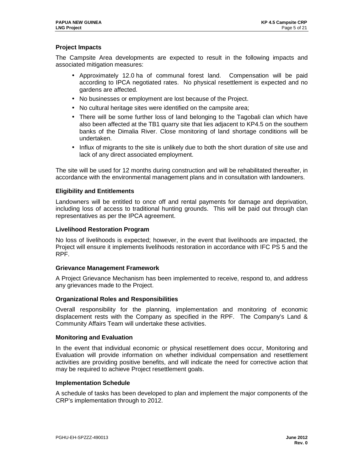### **Project Impacts**

The Campsite Area developments are expected to result in the following impacts and associated mitigation measures:

- Approximately 12.0 ha of communal forest land. Compensation will be paid according to IPCA negotiated rates. No physical resettlement is expected and no gardens are affected.
- No businesses or employment are lost because of the Project.
- No cultural heritage sites were identified on the campsite area;
- There will be some further loss of land belonging to the Tagobali clan which have also been affected at the TB1 quarry site that lies adjacent to KP4.5 on the southern banks of the Dimalia River. Close monitoring of land shortage conditions will be undertaken.
- Influx of migrants to the site is unlikely due to both the short duration of site use and lack of any direct associated employment.

The site will be used for 12 months during construction and will be rehabilitated thereafter, in accordance with the environmental management plans and in consultation with landowners.

#### **Eligibility and Entitlements**

Landowners will be entitled to once off and rental payments for damage and deprivation, including loss of access to traditional hunting grounds. This will be paid out through clan representatives as per the IPCA agreement.

#### **Livelihood Restoration Program**

No loss of livelihoods is expected; however, in the event that livelihoods are impacted, the Project will ensure it implements livelihoods restoration in accordance with IFC PS 5 and the RPF.

#### **Grievance Management Framework**

A Project Grievance Mechanism has been implemented to receive, respond to, and address any grievances made to the Project.

#### **Organizational Roles and Responsibilities**

Overall responsibility for the planning, implementation and monitoring of economic displacement rests with the Company as specified in the RPF. The Company's Land & Community Affairs Team will undertake these activities.

#### **Monitoring and Evaluation**

In the event that individual economic or physical resettlement does occur, Monitoring and Evaluation will provide information on whether individual compensation and resettlement activities are providing positive benefits, and will indicate the need for corrective action that may be required to achieve Project resettlement goals.

#### **Implementation Schedule**

A schedule of tasks has been developed to plan and implement the major components of the CRP's implementation through to 2012.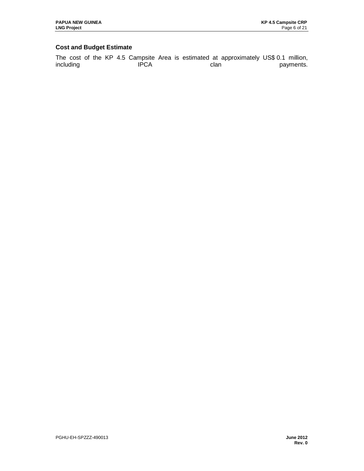## **Cost and Budget Estimate**

The cost of the KP 4.5 Campsite Area is estimated at approximately US\$ 0.1 million, including **IPCA** clan can payments.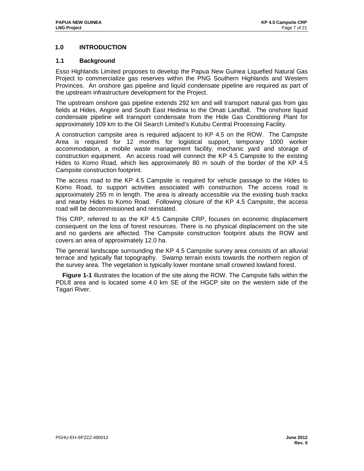## **1.0 INTRODUCTION**

#### **1.1 Background**

Esso Highlands Limited proposes to develop the Papua New Guinea Liquefied Natural Gas Project to commercialize gas reserves within the PNG Southern Highlands and Western Provinces. An onshore gas pipeline and liquid condensate pipeline are required as part of the upstream infrastructure development for the Project.

The upstream onshore gas pipeline extends 292 km and will transport natural gas from gas fields at Hides, Angore and South East Hedinia to the Omati Landfall. The onshore liquid condensate pipeline will transport condensate from the Hide Gas Conditioning Plant for approximately 109 km to the Oil Search Limited's Kutubu Central Processing Facility.

A construction campsite area is required adjacent to KP 4.5 on the ROW. The Campsite Area is required for 12 months for logistical support, temporary 1000 worker accommodation, a mobile waste management facility, mechanic yard and storage of construction equipment. An access road will connect the KP 4.5 Campsite to the existing Hides to Komo Road, which lies approximately 80 m south of the border of the KP 4.5 Campsite construction footprint.

The access road to the KP 4.5 Campsite is required for vehicle passage to the Hides to Komo Road, to support activities associated with construction. The access road is approximately 255 m in length. The area is already accessible via the existing bush tracks and nearby Hides to Komo Road. Following closure of the KP 4.5 Campsite, the access road will be decommissioned and reinstated.

This CRP, referred to as the KP 4.5 Campsite CRP, focuses on economic displacement consequent on the loss of forest resources. There is no physical displacement on the site and no gardens are affected. The Campsite construction footprint abuts the ROW and covers an area of approximately 12.0 ha.

The general landscape surrounding the KP 4.5 Campsite survey area consists of an alluvial terrace and typically flat topography. Swamp terrain exists towards the northern region of the survey area. The vegetation is typically lower montane small crowned lowland forest.

 **Figure 1-1** illustrates the location of the site along the ROW. The Campsite falls within the PDL8 area and is located some 4.0 km SE of the HGCP site on the western side of the Tagari River.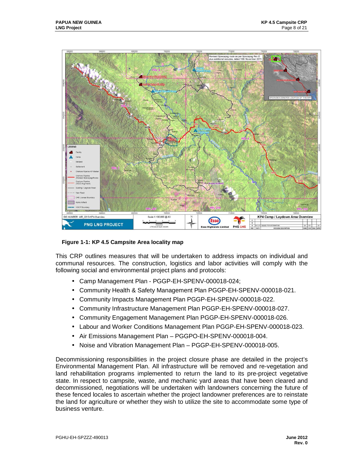

 **Figure 1-1: KP 4.5 Campsite Area locality map** 

This CRP outlines measures that will be undertaken to address impacts on individual and communal resources. The construction, logistics and labor activities will comply with the following social and environmental project plans and protocols:

- Camp Management Plan PGGP-EH-SPENV-000018-024;
- Community Health & Safety Management Plan PGGP-EH-SPENV-000018-021.
- Community Impacts Management Plan PGGP-EH-SPENV-000018-022.
- Community Infrastructure Management Plan PGGP-EH-SPENV-000018-027.
- Community Engagement Management Plan PGGP-EH-SPENV-000018-026.
- Labour and Worker Conditions Management Plan PGGP-EH-SPENV-000018-023.
- Air Emissions Management Plan PGGPO-EH-SPENV-000018-004.
- Noise and Vibration Management Plan PGGP-EH-SPENV-000018-005.

Decommissioning responsibilities in the project closure phase are detailed in the project's Environmental Management Plan. All infrastructure will be removed and re-vegetation and land rehabilitation programs implemented to return the land to its pre-project vegetative state. In respect to campsite, waste, and mechanic yard areas that have been cleared and decommissioned, negotiations will be undertaken with landowners concerning the future of these fenced locales to ascertain whether the project landowner preferences are to reinstate the land for agriculture or whether they wish to utilize the site to accommodate some type of business venture.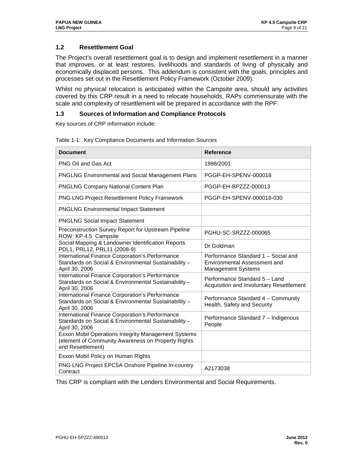## **1.2 Resettlement Goal**

The Project's overall resettlement goal is to design and implement resettlement in a manner that improves, or at least restores, livelihoods and standards of living of physically and economically displaced persons. This addendum is consistent with the goals, principles and processes set out in the Resettlement Policy Framework (October 2009).

Whilst no physical relocation is anticipated within the Campsite area, should any activities covered by this CRP result in a need to relocate households, RAPs commensurate with the scale and complexity of resettlement will be prepared in accordance with the RPF.

#### **1.3 Sources of Information and Compliance Protocols**

Key sources of CRP information include:

| <b>Document</b>                                                                                                                | <b>Reference</b>                                                                          |
|--------------------------------------------------------------------------------------------------------------------------------|-------------------------------------------------------------------------------------------|
| PNG Oil and Gas Act                                                                                                            | 1998/2001                                                                                 |
| PNGLNG Environmental and Social Management Plans                                                                               | PGGP-EH-SPENV-000018                                                                      |
| <b>PNGLNG Company National Content Plan</b>                                                                                    | PGGP-EH-BPZZZ-000013                                                                      |
| PNG LNG Project Resettlement Policy Framework                                                                                  | PGGP-EH-SPENV-000018-030                                                                  |
| <b>PNGLNG Environmental Impact Statement</b>                                                                                   |                                                                                           |
| <b>PNGLNG Social Impact Statement</b>                                                                                          |                                                                                           |
| Preconstruction Survey Report for Upstream Pipeline<br>ROW: KP 4.5 Campsite                                                    | PGHU-SC-SRZZZ-000065                                                                      |
| Social Mapping & Landowner Identification Reports<br>PDL1, PRL12, PRL11 (2008-9)                                               | Dr Goldman                                                                                |
| International Finance Corporation's Performance<br>Standards on Social & Environmental Sustainability -<br>April 30, 2006      | Performance Standard 1 - Social and<br>Environmental Assessment and<br>Management Systems |
| International Finance Corporation's Performance<br>Standards on Social & Environmental Sustainability -<br>April 30, 2006      | Performance Standard 5 - Land<br>Acquisition and Involuntary Resettlement                 |
| International Finance Corporation's Performance<br>Standards on Social & Environmental Sustainability -<br>April 30, 2006      | Performance Standard 4 - Community<br>Health, Safety and Security                         |
| International Finance Corporation's Performance<br>Standards on Social & Environmental Sustainability -<br>April 30, 2006      | Performance Standard 7 - Indigenous<br>People                                             |
| Exxon Mobil Operations Integrity Management Systems<br>(element of Community Awareness on Property Rights<br>and Resettlement) |                                                                                           |
| Exxon Mobil Policy on Human Rights                                                                                             |                                                                                           |
| PNG LNG Project EPC5A Onshore Pipeline In-country<br>Contract                                                                  | A2173038                                                                                  |

Table 1-1: Key Compliance Documents and Information Sources

This CRP is compliant with the Lenders Environmental and Social Requirements.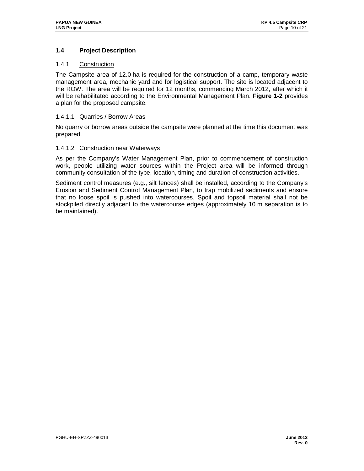## **1.4 Project Description**

#### 1.4.1 Construction

The Campsite area of 12.0 ha is required for the construction of a camp, temporary waste management area, mechanic yard and for logistical support. The site is located adjacent to the ROW. The area will be required for 12 months, commencing March 2012, after which it will be rehabilitated according to the Environmental Management Plan. **Figure 1-2** provides a plan for the proposed campsite.

#### 1.4.1.1 Quarries / Borrow Areas

No quarry or borrow areas outside the campsite were planned at the time this document was prepared.

#### 1.4.1.2 Construction near Waterways

As per the Company's Water Management Plan, prior to commencement of construction work, people utilizing water sources within the Project area will be informed through community consultation of the type, location, timing and duration of construction activities.

Sediment control measures (e.g., silt fences) shall be installed, according to the Company's Erosion and Sediment Control Management Plan, to trap mobilized sediments and ensure that no loose spoil is pushed into watercourses. Spoil and topsoil material shall not be stockpiled directly adjacent to the watercourse edges (approximately 10 m separation is to be maintained).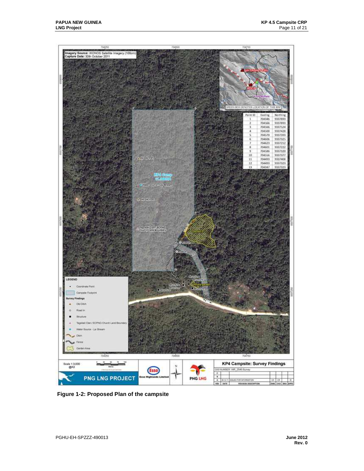

 **Figure 1-2: Proposed Plan of the campsite**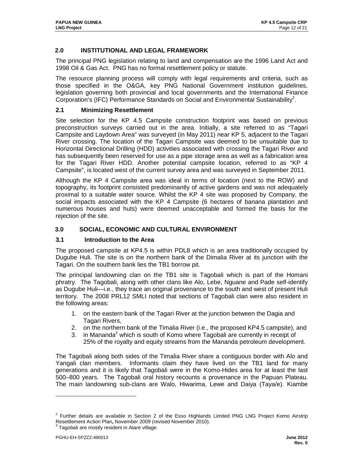## **2.0 INSTITUTIONAL AND LEGAL FRAMEWORK**

The principal PNG legislation relating to land and compensation are the 1996 Land Act and 1998 Oil & Gas Act. PNG has no formal resettlement policy or statute.

The resource planning process will comply with legal requirements and criteria, such as those specified in the O&GA, key PNG National Government institution guidelines, legislation governing both provincial and local governments and the International Finance Corporation's (IFC) Performance Standards on Social and Environmental Sustainability<sup>2</sup>.

#### **2.1 Minimizing Resettlement**

Site selection for the KP 4.5 Campsite construction footprint was based on previous preconstruction surveys carried out in the area. Initially, a site referred to as "Tagari Campsite and Laydown Area" was surveyed (in May 2011) near KP 5, adjacent to the Tagari River crossing. The location of the Tagari Campsite was deemed to be unsuitable due to Horizontal Directional Drilling (HDD) activities associated with crossing the Tagari River and has subsequently been reserved for use as a pipe storage area as well as a fabrication area for the Tagari River HDD. Another potential campsite location, referred to as "KP 4 Campsite", is located west of the current survey area and was surveyed in September 2011.

Although the KP 4 Campsite area was ideal in terms of location (next to the ROW) and topography, its footprint consisted predominantly of active gardens and was not adequately proximal to a suitable water source. Whilst the KP 4 site was proposed by Company, the social impacts associated with the KP 4 Campsite (6 hectares of banana plantation and numerous houses and huts) were deemed unacceptable and formed the basis for the rejection of the site.

#### **3.0 SOCIAL, ECONOMIC AND CULTURAL ENVIRONMENT**

#### **3.1 Introduction to the Area**

The proposed campsite at KP4.5 is within PDL8 which is an area traditionally occupied by Dugube Huli. The site is on the northern bank of the Dimalia River at its junction with the Tagari. On the southern bank lies the TB1 borrow pit.

The principal landowning clan on the TB1 site is Tagobali which is part of the Homani phratry. The Tagobali, along with other clans like Alo, Lebe, Nguane and Pade self-identify as Dugube Huli—i.e., they trace an original provenance to the south and west of present Huli territory. The 2008 PRL12 SMLI noted that sections of Tagobali clan were also resident in the following areas:

- 1. on the eastern bank of the Tagari River at the junction between the Dagia and Tagari Rivers,
- 2. on the northern bank of the Timalia River (i.e., the proposed KP4.5 campsite), and
- 3. in Mananda<sup>3</sup> which is south of Komo where Tagobali are currently in receipt of 25% of the royalty and equity streams from the Mananda petroleum development.

The Tagobali along both sides of the Timalia River share a contiguous border with Alo and Yangali clan members. Informants claim they have lived on the TB1 land for many generations and it is likely that Tagobali were in the Komo-Hides area for at least the last 500–800 years. The Tagobali oral history recounts a provenance in the Papuan Plateau. The main landowning sub-clans are Walo, Hiwarima, Lewe and Daiya (Taya/e). Kiambe

1

 $2$  Further details are available in Section 2 of the Esso Highlands Limited PNG LNG Project Komo Airstrip Resettlement Action Plan**,** November 2009 (revised November 2010).

 $3$  Tagobali are mostly resident in Atare village.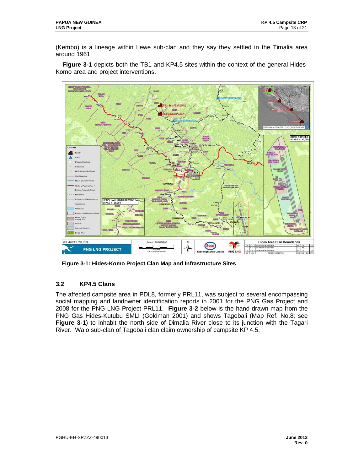(Kembo) is a lineage within Lewe sub-clan and they say they settled in the Timalia area around 1961.

 **Figure 3-1** depicts both the TB1 and KP4.5 sites within the context of the general Hides-Komo area and project interventions.



 **Figure 3-1: Hides-Komo Project Clan Map and Infrastructure Sites** 

## **3.2 KP4.5 Clans**

The affected campsite area in PDL8, formerly PRL11, was subject to several encompassing social mapping and landowner identification reports in 2001 for the PNG Gas Project and 2008 for the PNG LNG Project PRL11. **Figure 3-2** below is the hand-drawn map from the PNG Gas Hides-Kutubu SMLI (Goldman 2001) and shows Tagobali (Map Ref. No.8; see **Figure 3-1**) to inhabit the north side of Dimalia River close to its junction with the Tagari River. Walo sub-clan of Tagobali clan claim ownership of campsite KP 4.5.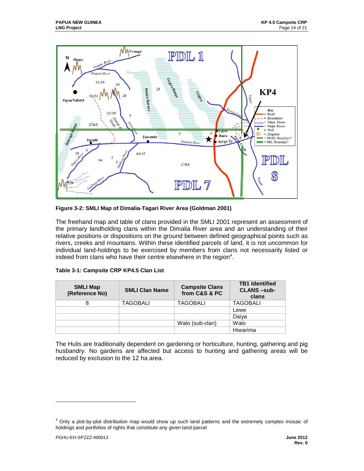

**Figure 3-2: SMLI Map of Dimalia-Tagari River Area (Goldman 2001)** 

The freehand map and table of clans provided in the SMLI 2001 represent an assessment of the primary landholding clans within the Dimalia River area and an understanding of their relative positions or dispositions on the ground between defined geographical points such as rivers, creeks and mountains. Within these identified parcels of land, it is not uncommon for individual land-holdings to be exercised by members from clans not necessarily listed or indeed from clans who have their centre elsewhere in the region<sup>4</sup>.

|  |  |  | Table 3-1: Campsite CRP KP4.5 Clan List |  |
|--|--|--|-----------------------------------------|--|
|--|--|--|-----------------------------------------|--|

| <b>SMLI Map</b><br>(Reference No) | <b>SMLI Clan Name</b> | <b>Campsite Clans</b><br>from C&S & PC | <b>TB1 Identified</b><br><b>CLANS-sub-</b><br>clans |
|-----------------------------------|-----------------------|----------------------------------------|-----------------------------------------------------|
| 8                                 | <b>TAGOBALI</b>       | <b>TAGOBALI</b>                        | <b>TAGOBALI</b>                                     |
|                                   |                       |                                        | Lewe                                                |
|                                   |                       |                                        | Daiya                                               |
|                                   |                       | Walo (sub-clan)                        | Walo                                                |
|                                   |                       |                                        | Hiwarima                                            |

The Hulis are traditionally dependent on gardening or horticulture, hunting, gathering and pig husbandry. No gardens are affected but access to hunting and gathering areas will be reduced by exclusion to the 12 ha area.

-

<sup>&</sup>lt;sup>4</sup> Only a plot-by-plot distribution map would show up such land patterns and the extremely complex mosaic of holdings and portfolios of rights that constitute any given land parcel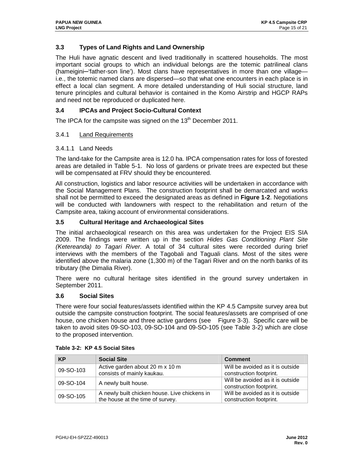## **3.3 Types of Land Rights and Land Ownership**

The Huli have agnatic descent and lived traditionally in scattered households. The most important social groups to which an individual belongs are the totemic patrilineal clans (hameigini—'father-son line'). Most clans have representatives in more than one village i.e., the totemic named clans are dispersed—so that what one encounters in each place is in effect a local clan segment. A more detailed understanding of Huli social structure, land tenure principles and cultural behavior is contained in the Komo Airstrip and HGCP RAPs and need not be reproduced or duplicated here.

## **3.4 IPCAs and Project Socio-Cultural Context**

The IPCA for the campsite was signed on the  $13<sup>th</sup>$  December 2011.

#### 3.4.1 Land Requirements

#### 3.4.1.1 Land Needs

The land-take for the Campsite area is 12.0 ha. IPCA compensation rates for loss of forested areas are detailed in Table 5-1. No loss of gardens or private trees are expected but these will be compensated at FRV should they be encountered.

All construction, logistics and labor resource activities will be undertaken in accordance with the Social Management Plans. The construction footprint shall be demarcated and works shall not be permitted to exceed the designated areas as defined in **Figure 1-2**. Negotiations will be conducted with landowners with respect to the rehabilitation and return of the Campsite area, taking account of environmental considerations.

#### **3.5 Cultural Heritage and Archaeological Sites**

The initial archaeological research on this area was undertaken for the Project EIS SIA 2009. The findings were written up in the section Hides Gas Conditioning Plant Site (Ketereanda) to Tagari River. A total of 34 cultural sites were recorded during brief interviews with the members of the Tagobali and Taguali clans. Most of the sites were identified above the malaria zone (1,300 m) of the Tagari River and on the north banks of its tributary (the Dimalia River).

There were no cultural heritage sites identified in the ground survey undertaken in September 2011.

#### **3.6 Social Sites**

There were four social features/assets identified within the KP 4.5 Campsite survey area but outside the campsite construction footprint. The social features/assets are comprised of one house, one chicken house and three active gardens (see Figure 3-3). Specific care will be taken to avoid sites 09-SO-103, 09-SO-104 and 09-SO-105 (see Table 3-2) which are close to the proposed intervention.

| <b>KP</b> | <b>Social Site</b>                                                                | <b>Comment</b>                                              |
|-----------|-----------------------------------------------------------------------------------|-------------------------------------------------------------|
| 09-SO-103 | Active garden about 20 m x 10 m<br>consists of mainly kaukau.                     | Will be avoided as it is outside<br>construction footprint. |
| 09-SO-104 | A newly built house.                                                              | Will be avoided as it is outside<br>construction footprint. |
| 09-SO-105 | A newly built chicken house. Live chickens in<br>the house at the time of survey. | Will be avoided as it is outside<br>construction footprint. |

#### **Table 3-2: KP 4.5 Social Sites**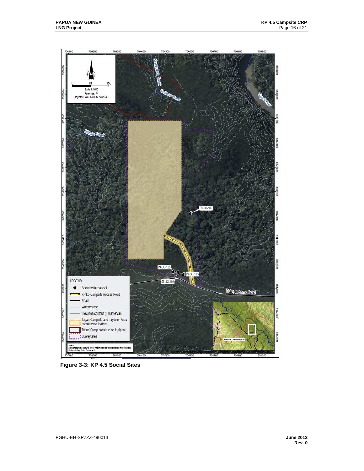

 **Figure 3-3: KP 4.5 Social Sites**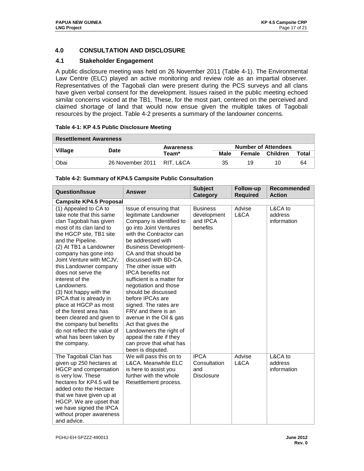## **4.0 CONSULTATION AND DISCLOSURE**

## **4.1 Stakeholder Engagement**

A public disclosure meeting was held on 26 November 2011 (Table 4-1). The Environmental Law Centre (ELC) played an active monitoring and review role as an impartial observer. Representatives of the Tagobali clan were present during the PCS surveys and all clans have given verbal consent for the development. Issues raised in the public meeting echoed similar concerns voiced at the TB1. These, for the most part, centered on the perceived and claimed shortage of land that would now ensue given the multiple takes of Tagobali resources by the project. Table 4-2 presents a summary of the landowner concerns.

| <b>Resettlement Awareness</b> |                            |                  |      |    |                            |       |
|-------------------------------|----------------------------|------------------|------|----|----------------------------|-------|
|                               | Date                       | <b>Awareness</b> |      |    | <b>Number of Attendees</b> |       |
| Village                       |                            | Team*            | Male |    | Female Children            | Total |
| Obai                          | 26 November 2011 RIT. L&CA |                  | 35   | 19 | 10                         | 64    |

#### **Table 4-1: KP 4.5 Public Disclosure Meeting**

| <b>Question/Issue</b>                                                                                                                                                                                                                                                                                                                                                                                                                                                                                                                                               | <b>Answer</b>                                                                                                                                                                                                                                                                                                                                                                                                                                                                                                                                                                                       | <b>Subject</b><br>Category                              | Follow-up<br><b>Required</b> | <b>Recommended</b><br><b>Action</b> |  |  |
|---------------------------------------------------------------------------------------------------------------------------------------------------------------------------------------------------------------------------------------------------------------------------------------------------------------------------------------------------------------------------------------------------------------------------------------------------------------------------------------------------------------------------------------------------------------------|-----------------------------------------------------------------------------------------------------------------------------------------------------------------------------------------------------------------------------------------------------------------------------------------------------------------------------------------------------------------------------------------------------------------------------------------------------------------------------------------------------------------------------------------------------------------------------------------------------|---------------------------------------------------------|------------------------------|-------------------------------------|--|--|
| <b>Campsite KP4.5 Proposal</b>                                                                                                                                                                                                                                                                                                                                                                                                                                                                                                                                      |                                                                                                                                                                                                                                                                                                                                                                                                                                                                                                                                                                                                     |                                                         |                              |                                     |  |  |
| (1) Appealed to CA to<br>take note that this same<br>clan Tagobali has given<br>most of its clan land to<br>the HGCP site, TB1 site<br>and the Pipeline.<br>(2) At TB1 a Landowner<br>company has gone into<br>Joint Venture with MCJV,<br>this Landowner company<br>does not serve the<br>interest of the<br>Landowners.<br>(3) Not happy with the<br>IPCA that is already in<br>place at HGCP as most<br>of the forest area has<br>been cleared and given to<br>the company but benefits<br>do not reflect the value of<br>what has been taken by<br>the company. | Issue of ensuring that<br>legitimate Landowner<br>Company is identified to<br>go into Joint Ventures<br>with the Contractor can<br>be addressed with<br><b>Business Development-</b><br>CA and that should be<br>discussed with BD-CA.<br>The other issue with<br><b>IPCA</b> benefits not<br>sufficient is a matter for<br>negotiation and those<br>should be discussed<br>before IPCAs are<br>signed. The rates are<br>FRV and there is an<br>avenue in the Oil & gas<br>Act that gives the<br>Landowners the right of<br>appeal the rate if they<br>can prove that what has<br>been is disputed. | <b>Business</b><br>development<br>and IPCA<br>benefits  | Advise<br>L&CA               | L&CA to<br>address<br>information   |  |  |
| The Tagobali Clan has<br>given up 250 hectares at<br>HGCP and compensation<br>is very low. These<br>hectares for KP4.5 will be<br>added onto the Hectare<br>that we have given up at<br>HGCP. We are upset that<br>we have signed the IPCA<br>without proper awareness<br>and advice.                                                                                                                                                                                                                                                                               | We will pass this on to<br>L&CA. Meanwhile ELC<br>is here to assist you<br>further with the whole<br>Resettlement process.                                                                                                                                                                                                                                                                                                                                                                                                                                                                          | <b>IPCA</b><br>Consultation<br>and<br><b>Disclosure</b> | Advise<br>L&CA               | L&CA to<br>address<br>information   |  |  |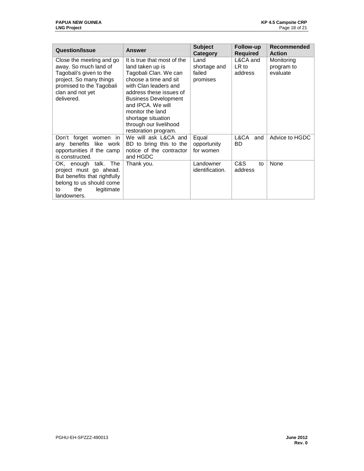| <b>Question/Issue</b>                                                                                                                                | <b>Answer</b>                                                                                                                                                                                                             | <b>Subject</b><br>Category        | Follow-up<br><b>Required</b>   | Recommended<br><b>Action</b>         |
|------------------------------------------------------------------------------------------------------------------------------------------------------|---------------------------------------------------------------------------------------------------------------------------------------------------------------------------------------------------------------------------|-----------------------------------|--------------------------------|--------------------------------------|
| Close the meeting and go<br>away. So much land of<br>Tagobali's given to the                                                                         | It is true that most of the<br>land taken up is<br>Tagobali Clan. We can                                                                                                                                                  | Land<br>shortage and<br>failed    | L&CA and<br>$LR$ to<br>address | Monitoring<br>program to<br>evaluate |
| project. So many things<br>promised to the Tagobali<br>clan and not yet<br>delivered.                                                                | choose a time and sit<br>with Clan leaders and<br>address these issues of<br><b>Business Development</b><br>and IPCA. We will<br>monitor the land<br>shortage situation<br>through our livelihood<br>restoration program. | promises                          |                                |                                      |
| Don't forget women<br>in<br>like work<br>benefits<br>any<br>opportunities if the camp<br>is constructed.                                             | We will ask L&CA and<br>BD to bring this to the<br>notice of the contractor<br>and HGDC                                                                                                                                   | Equal<br>opportunity<br>for women | L&CA<br>and<br>BD.             | Advice to HGDC                       |
| OK, enough talk. The<br>project must go ahead.<br>But benefits that rightfully<br>belong to us should come<br>the<br>legitimate<br>to<br>landowners. | Thank you.                                                                                                                                                                                                                | Landowner<br>identification.      | C&S<br>to<br>address           | None                                 |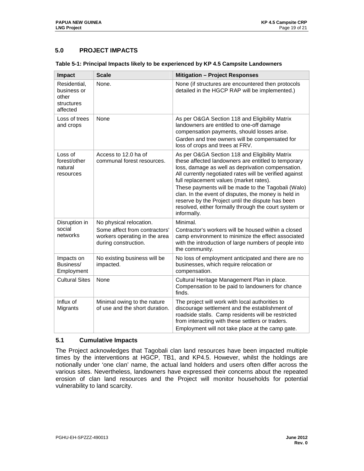## **5.0 PROJECT IMPACTS**

| Table 5-1: Principal Impacts likely to be experienced by KP 4.5 Campsite Landowners |  |
|-------------------------------------------------------------------------------------|--|
|                                                                                     |  |

| Impact                                                         | <b>Scale</b>                                                                                                      | <b>Mitigation - Project Responses</b>                                                                                                                                                                                                                                                                                                                                                                                                                                                                       |
|----------------------------------------------------------------|-------------------------------------------------------------------------------------------------------------------|-------------------------------------------------------------------------------------------------------------------------------------------------------------------------------------------------------------------------------------------------------------------------------------------------------------------------------------------------------------------------------------------------------------------------------------------------------------------------------------------------------------|
| Residential,<br>business or<br>other<br>structures<br>affected | None.                                                                                                             | None (if structures are encountered then protocols<br>detailed in the HGCP RAP will be implemented.)                                                                                                                                                                                                                                                                                                                                                                                                        |
| Loss of trees<br>and crops                                     | None                                                                                                              | As per O&GA Section 118 and Eligibility Matrix<br>landowners are entitled to one-off damage<br>compensation payments, should losses arise.<br>Garden and tree owners will be compensated for<br>loss of crops and trees at FRV.                                                                                                                                                                                                                                                                             |
| Loss of<br>forest/other<br>natural<br>resources                | Access to 12.0 ha of<br>communal forest resources.                                                                | As per O&GA Section 118 and Eligibility Matrix<br>these affected landowners are entitled to temporary<br>loss, damage as well as deprivation compensation.<br>All currently negotiated rates will be verified against<br>full replacement values (market rates).<br>These payments will be made to the Tagobali (Walo)<br>clan. In the event of disputes, the money is held in<br>reserve by the Project until the dispute has been<br>resolved, either formally through the court system or<br>informally. |
| Disruption in<br>social<br>networks                            | No physical relocation.<br>Some affect from contractors'<br>workers operating in the area<br>during construction. | Minimal.<br>Contractor's workers will be housed within a closed<br>camp environment to minimize the effect associated<br>with the introduction of large numbers of people into<br>the community.                                                                                                                                                                                                                                                                                                            |
| Impacts on<br>Business/<br>Employment                          | No existing business will be<br>impacted.                                                                         | No loss of employment anticipated and there are no<br>businesses, which require relocation or<br>compensation.                                                                                                                                                                                                                                                                                                                                                                                              |
| <b>Cultural Sites</b>                                          | None                                                                                                              | Cultural Heritage Management Plan in place.<br>Compensation to be paid to landowners for chance<br>finds.                                                                                                                                                                                                                                                                                                                                                                                                   |
| Influx of<br>Migrants                                          | Minimal owing to the nature<br>of use and the short duration.                                                     | The project will work with local authorities to<br>discourage settlement and the establishment of<br>roadside stalls. Camp residents will be restricted<br>from interacting with these settlers or traders.<br>Employment will not take place at the camp gate.                                                                                                                                                                                                                                             |

#### **5.1 Cumulative Impacts**

The Project acknowledges that Tagobali clan land resources have been impacted multiple times by the interventions at HGCP, TB1, and KP4.5. However, whilst the holdings are notionally under 'one clan' name, the actual land holders and users often differ across the various sites. Nevertheless, landowners have expressed their concerns about the repeated erosion of clan land resources and the Project will monitor households for potential vulnerability to land scarcity.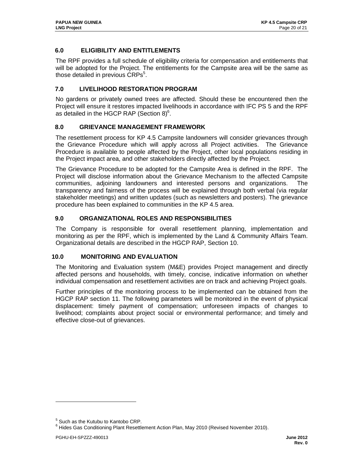## **6.0 ELIGIBILITY AND ENTITLEMENTS**

The RPF provides a full schedule of eligibility criteria for compensation and entitlements that will be adopted for the Project. The entitlements for the Campsite area will be the same as those detailed in previous  $CRPs<sup>5</sup>$ .

## **7.0 LIVELIHOOD RESTORATION PROGRAM**

No gardens or privately owned trees are affected. Should these be encountered then the Project will ensure it restores impacted livelihoods in accordance with IFC PS 5 and the RPF as detailed in the HGCP RAP (Section  $8)^6$ .

## **8.0 GRIEVANCE MANAGEMENT FRAMEWORK**

The resettlement process for KP 4.5 Campsite landowners will consider grievances through the Grievance Procedure which will apply across all Project activities. The Grievance Procedure is available to people affected by the Project, other local populations residing in the Project impact area, and other stakeholders directly affected by the Project.

The Grievance Procedure to be adopted for the Campsite Area is defined in the RPF. The Project will disclose information about the Grievance Mechanism to the affected Campsite communities, adjoining landowners and interested persons and organizations. The transparency and fairness of the process will be explained through both verbal (via regular stakeholder meetings) and written updates (such as newsletters and posters). The grievance procedure has been explained to communities in the KP 4.5 area.

## **9.0 ORGANIZATIONAL ROLES AND RESPONSIBILITIES**

The Company is responsible for overall resettlement planning, implementation and monitoring as per the RPF, which is implemented by the Land & Community Affairs Team. Organizational details are described in the HGCP RAP, Section 10.

## **10.0 MONITORING AND EVALUATION**

The Monitoring and Evaluation system (M&E) provides Project management and directly affected persons and households, with timely, concise, indicative information on whether individual compensation and resettlement activities are on track and achieving Project goals.

Further principles of the monitoring process to be implemented can be obtained from the HGCP RAP section 11. The following parameters will be monitored in the event of physical displacement: timely payment of compensation; unforeseen impacts of changes to livelihood; complaints about project social or environmental performance; and timely and effective close-out of grievances.

-

<sup>&</sup>lt;sup>5</sup> Such as the Kutubu to Kantobo CRP.

<sup>&</sup>lt;sup>6</sup> Hides Gas Conditioning Plant Resettlement Action Plan, May 2010 (Revised November 2010).